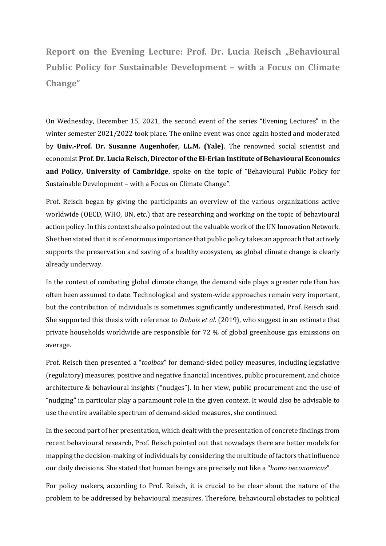**Report on the Evening Lecture: Prof. Dr. Lucia Reisch "Behavioural Public Policy for Sustainable Development – with a Focus on Climate Change"**

On Wednesday, December 15, 2021, the second event of the series "Evening Lectures" in the winter semester 2021/2022 took place. The online event was once again hosted and moderated by **Univ.-Prof. Dr. Susanne Augenhofer, LL.M. (Yale)**. The renowned social scientist and economist **Prof. Dr. Lucia Reisch, Director of the El-Erian Institute of Behavioural Economics and Policy, University of Cambridge**, spoke on the topic of "Behavioural Public Policy for Sustainable Development – with a Focus on Climate Change".

Prof. Reisch began by giving the participants an overview of the various organizations active worldwide (OECD, WHO, UN, etc.) that are researching and working on the topic of behavioural action policy. In this context she also pointed out the valuable work of the UN Innovation Network. She then stated that it is of enormous importance that public policy takes an approach that actively supports the preservation and saving of a healthy ecosystem, as global climate change is clearly already underway.

In the context of combating global climate change, the demand side plays a greater role than has often been assumed to date. Technological and system-wide approaches remain very important, but the contribution of individuals is sometimes significantly underestimated, Prof. Reisch said. She supported this thesis with reference to *Dubois et al.* (2019), who suggest in an estimate that private households worldwide are responsible for 72 % of global greenhouse gas emissions on average.

Prof. Reisch then presented a "*toolbox*" for demand-sided policy measures, including legislative (regulatory) measures, positive and negative financial incentives, public procurement, and choice architecture & behavioural insights ("nudges"). In her view, public procurement and the use of "nudging" in particular play a paramount role in the given context. It would also be advisable to use the entire available spectrum of demand-sided measures, she continued.

In the second part of her presentation, which dealt with the presentation of concrete findings from recent behavioural research, Prof. Reisch pointed out that nowadays there are better models for mapping the decision-making of individuals by considering the multitude of factors that influence our daily decisions. She stated that human beings are precisely not like a "*homo oeconomicus*".

For policy makers, according to Prof. Reisch, it is crucial to be clear about the nature of the problem to be addressed by behavioural measures. Therefore, behavioural obstacles to political